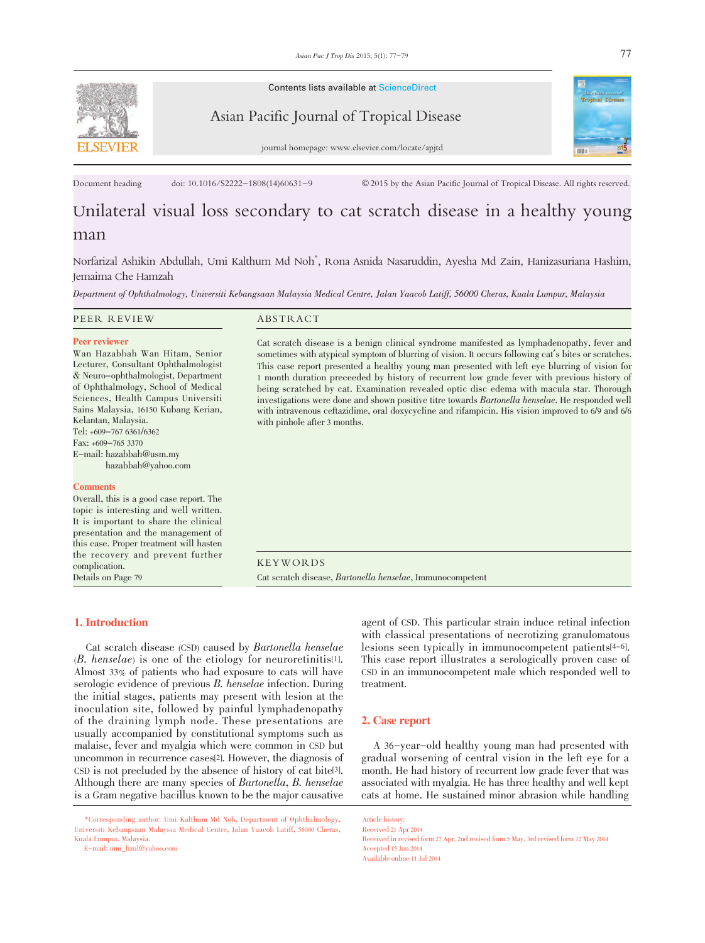

Contents lists available at ScienceDirect



Asian Pacific Journal of Tropical Disease

journal homepage: www.elsevier.com/locate/apjtd

Document heading doi: 10.1016/S2222-1808(14)60631-9 © 2015 by the Asian Pacific Journal of Tropical Disease. All rights reserved.

# Unilateral visual loss secondary to cat scratch disease in a healthy young man

Norfarizal Ashikin Abdullah, Umi Kalthum Md Noh\* , Rona Asnida Nasaruddin, Ayesha Md Zain, Hanizasuriana Hashim, Jemaima Che Hamzah

Department of Ophthalmology, Universiti Kebangsaan Malaysia Medical Centre, Jalan Yaacob Latiff, 56000 Cheras, Kuala Lumpur, Malaysia

| PEER REVIEW                                                                                                                                                                                                                                                                                                                                                                          | ABSTRACT                                                                                                                                                                                                                                                                                                                                                                                                                                                                                                                                                                                                                                                                                                                                       |
|--------------------------------------------------------------------------------------------------------------------------------------------------------------------------------------------------------------------------------------------------------------------------------------------------------------------------------------------------------------------------------------|------------------------------------------------------------------------------------------------------------------------------------------------------------------------------------------------------------------------------------------------------------------------------------------------------------------------------------------------------------------------------------------------------------------------------------------------------------------------------------------------------------------------------------------------------------------------------------------------------------------------------------------------------------------------------------------------------------------------------------------------|
| <b>Peer reviewer</b><br>Wan Hazabbah Wan Hitam, Senior<br>Lecturer, Consultant Ophthalmologist<br>& Neuro-ophthalmologist, Department<br>of Ophthalmology, School of Medical<br>Sciences, Health Campus Universiti<br>Sains Malaysia, 16150 Kubang Kerian,<br>Kelantan, Malaysia.<br>Tel: +609-767 6361/6362<br>Fax: $+609-7653370$<br>E-mail: hazabbah@usm.my<br>hazabbah@yahoo.com | Cat scratch disease is a benign clinical syndrome manifested as lymphadenopathy, fever and<br>sometimes with atypical symptom of blurring of vision. It occurs following cat's bites or scratches.<br>This case report presented a healthy young man presented with left eye blurring of vision for<br>1 month duration preceded by history of recurrent low grade fever with previous history of<br>being scratched by cat. Examination revealed optic disc edema with macula star. Thorough<br>investigations were done and shown positive titre towards <i>Bartonella henselae</i> . He responded well<br>with intravenous ceftazidime, oral doxycycline and rifampicin. His vision improved to 6/9 and 6/6<br>with pinhole after 3 months. |
| <b>Comments</b><br>Overall, this is a good case report. The<br>topic is interesting and well written.<br>It is important to share the clinical<br>presentation and the management of<br>this case. Proper treatment will hasten<br>the recovery and prevent further<br>complication.<br>Details on Page 79                                                                           | <b>KEYWORDS</b><br>Cat scratch disease, <i>Bartonella henselae</i> , Immunocompetent                                                                                                                                                                                                                                                                                                                                                                                                                                                                                                                                                                                                                                                           |

# 1. Introduction

 Cat scratch disease (CSD) caused by Bartonella henselae (B. henselae) is one of the etiology for neuroretinitis[1]. Almost 33% of patients who had exposure to cats will have serologic evidence of previous B. henselae infection. During the initial stages, patients may present with lesion at the inoculation site, followed by painful lymphadenopathy of the draining lymph node. These presentations are usually accompanied by constitutional symptoms such as malaise, fever and myalgia which were common in CSD but uncommon in recurrence cases[2]. However, the diagnosis of CSD is not precluded by the absence of history of cat bite[3]. Although there are many species of Bartonella, B. henselae is a Gram negative bacillus known to be the major causative

E-mail: umi\_fizul@yahoo.com

agent of CSD. This particular strain induce retinal infection with classical presentations of necrotizing granulomatous lesions seen typically in immunocompetent patients[4-6]. This case report illustrates a serologically proven case of CSD in an immunocompetent male which responded well to treatment.

### 2. Case report

 A 36-year-old healthy young man had presented with gradual worsening of central vision in the left eye for a month. He had history of recurrent low grade fever that was associated with myalgia. He has three healthy and well kept cats at home. He sustained minor abrasion while handling

Article history: Received 21 Apr 2014 Received in revised form 27 Apr, 2nd revised form 5 May, 3rd revised form 12 May 2014 Accepted 15 Jun 2014 Available online 11 Jul 2014

 <sup>\*</sup>Corresponding author: Umi Kalthum Md Noh, Department of Ophthalmology, Universiti Kebangsaan Malaysia Medical Centre, Jalan Yaacob Latiff, 56000 Cheras, Kuala Lumpur, Malaysia.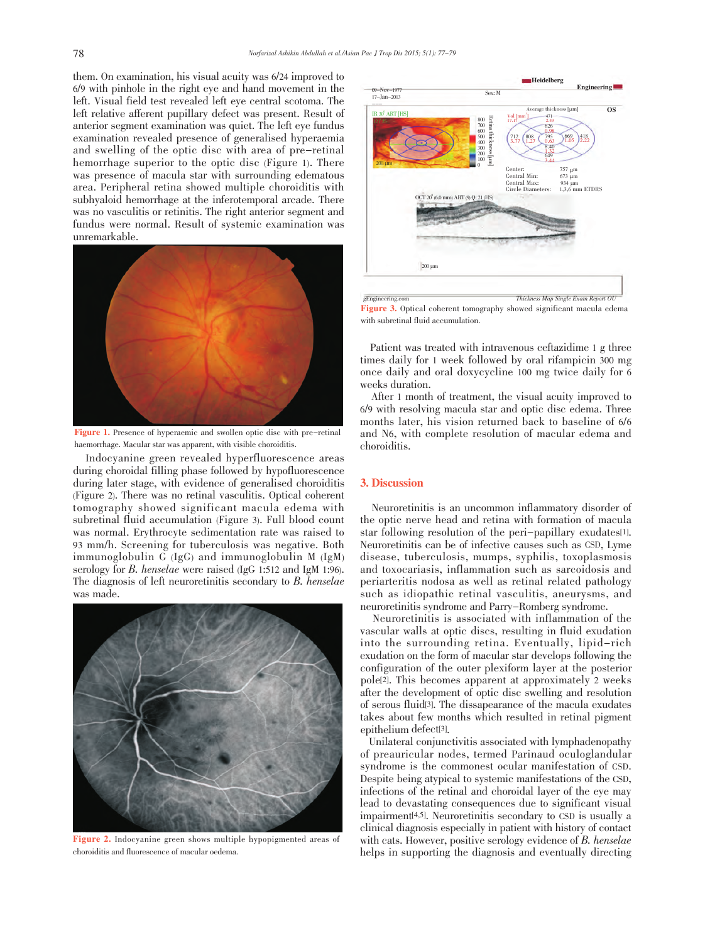them. On examination, his visual acuity was 6/24 improved to 6/9 with pinhole in the right eye and hand movement in the left. Visual field test revealed left eye central scotoma. The left relative afferent pupillary defect was present. Result of anterior segment examination was quiet. The left eye fundus examination revealed presence of generalised hyperaemia and swelling of the optic disc with area of pre-retinal hemorrhage superior to the optic disc (Figure 1). There was presence of macula star with surrounding edematous area. Peripheral retina showed multiple choroiditis with subhyaloid hemorrhage at the inferotemporal arcade. There was no vasculitis or retinitis. The right anterior segment and fundus were normal. Result of systemic examination was unremarkable.



Figure 1. Presence of hyperaemic and swollen optic disc with pre-retinal haemorrhage. Macular star was apparent, with visible choroiditis.

 Indocyanine green revealed hyperfluorescence areas during choroidal filling phase followed by hypofluorescence during later stage, with evidence of generalised choroiditis (Figure 2). There was no retinal vasculitis. Optical coherent tomography showed significant macula edema with subretinal fluid accumulation (Figure 3). Full blood count was normal. Erythrocyte sedimentation rate was raised to 93 mm/h. Screening for tuberculosis was negative. Both immunoglobulin G (IgG) and immunoglobulin M (IgM) serology for B. henselae were raised (IgG 1:512 and IgM 1:96). The diagnosis of left neuroretinitis secondary to B. henselae was made.



Figure 2. Indocyanine green shows multiple hypopigmented areas of choroiditis and fluorescence of macular oedema.



Figure 3. Optical coherent tomography showed significant macula edema with subretinal fluid accumulation.

 Patient was treated with intravenous ceftazidime 1 g three times daily for 1 week followed by oral rifampicin 300 mg once daily and oral doxycycline 100 mg twice daily for 6 weeks duration.

 After 1 month of treatment, the visual acuity improved to 6/9 with resolving macula star and optic disc edema. Three months later, his vision returned back to baseline of 6/6 and N6, with complete resolution of macular edema and choroiditis.

# 3. Discussion

 Neuroretinitis is an uncommon inflammatory disorder of the optic nerve head and retina with formation of macula star following resolution of the peri-papillary exudates[1]. Neuroretinitis can be of infective causes such as CSD, Lyme disease, tuberculosis, mumps, syphilis, toxoplasmosis and toxocariasis, inflammation such as sarcoidosis and periarteritis nodosa as well as retinal related pathology such as idiopathic retinal vasculitis, aneurysms, and neuroretinitis syndrome and Parry-Romberg syndrome.

 Neuroretinitis is associated with inflammation of the vascular walls at optic discs, resulting in fluid exudation into the surrounding retina. Eventually, lipid-rich exudation on the form of macular star develops following the configuration of the outer plexiform layer at the posterior pole[2]. This becomes apparent at approximately 2 weeks after the development of optic disc swelling and resolution of serous fluid[3]. The dissapearance of the macula exudates takes about few months which resulted in retinal pigment epithelium defect[3].

 Unilateral conjunctivitis associated with lymphadenopathy of preauricular nodes, termed Parinaud oculoglandular syndrome is the commonest ocular manifestation of CSD. Despite being atypical to systemic manifestations of the CSD, infections of the retinal and choroidal layer of the eye may lead to devastating consequences due to significant visual impairment[4,5]. Neuroretinitis secondary to CSD is usually a clinical diagnosis especially in patient with history of contact with cats. However, positive serology evidence of B. henselae helps in supporting the diagnosis and eventually directing